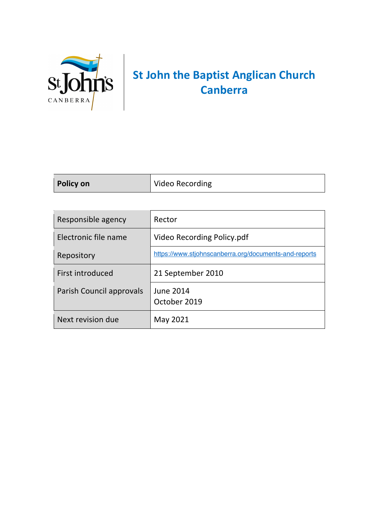

## **St John the Baptist Anglican Church Canberra**

| Policy on | Video Recording |
|-----------|-----------------|
|           |                 |

| Responsible agency       | Rector                                                |
|--------------------------|-------------------------------------------------------|
| Electronic file name     | Video Recording Policy.pdf                            |
| Repository               | https://www.stjohnscanberra.org/documents-and-reports |
| First introduced         | 21 September 2010                                     |
| Parish Council approvals | June 2014<br>October 2019                             |
| Next revision due        | May 2021                                              |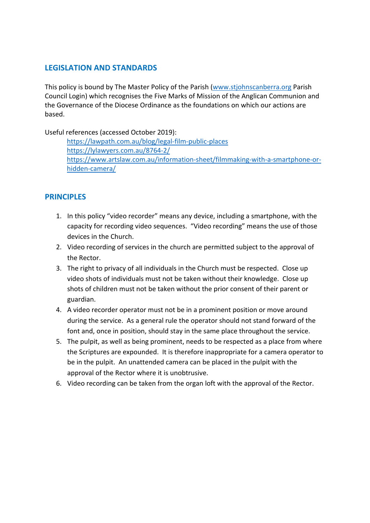## **LEGISLATION AND STANDARDS**

This policy is bound by The Master Policy of the Parish (www.stjohnscanberra.org Parish Council Login) which recognises the Five Marks of Mission of the Anglican Communion and the Governance of the Diocese Ordinance as the foundations on which our actions are based.

Useful references (accessed October 2019):

https://lawpath.com.au/blog/legal-film-public-places https://lylawyers.com.au/8764-2/ https://www.artslaw.com.au/information-sheet/filmmaking-with-a-smartphone-orhidden-camera/

## **PRINCIPLES**

- 1. In this policy "video recorder" means any device, including a smartphone, with the capacity for recording video sequences. "Video recording" means the use of those devices in the Church.
- 2. Video recording of services in the church are permitted subject to the approval of the Rector.
- 3. The right to privacy of all individuals in the Church must be respected. Close up video shots of individuals must not be taken without their knowledge. Close up shots of children must not be taken without the prior consent of their parent or guardian.
- 4. A video recorder operator must not be in a prominent position or move around during the service. As a general rule the operator should not stand forward of the font and, once in position, should stay in the same place throughout the service.
- 5. The pulpit, as well as being prominent, needs to be respected as a place from where the Scriptures are expounded. It is therefore inappropriate for a camera operator to be in the pulpit. An unattended camera can be placed in the pulpit with the approval of the Rector where it is unobtrusive.
- 6. Video recording can be taken from the organ loft with the approval of the Rector.